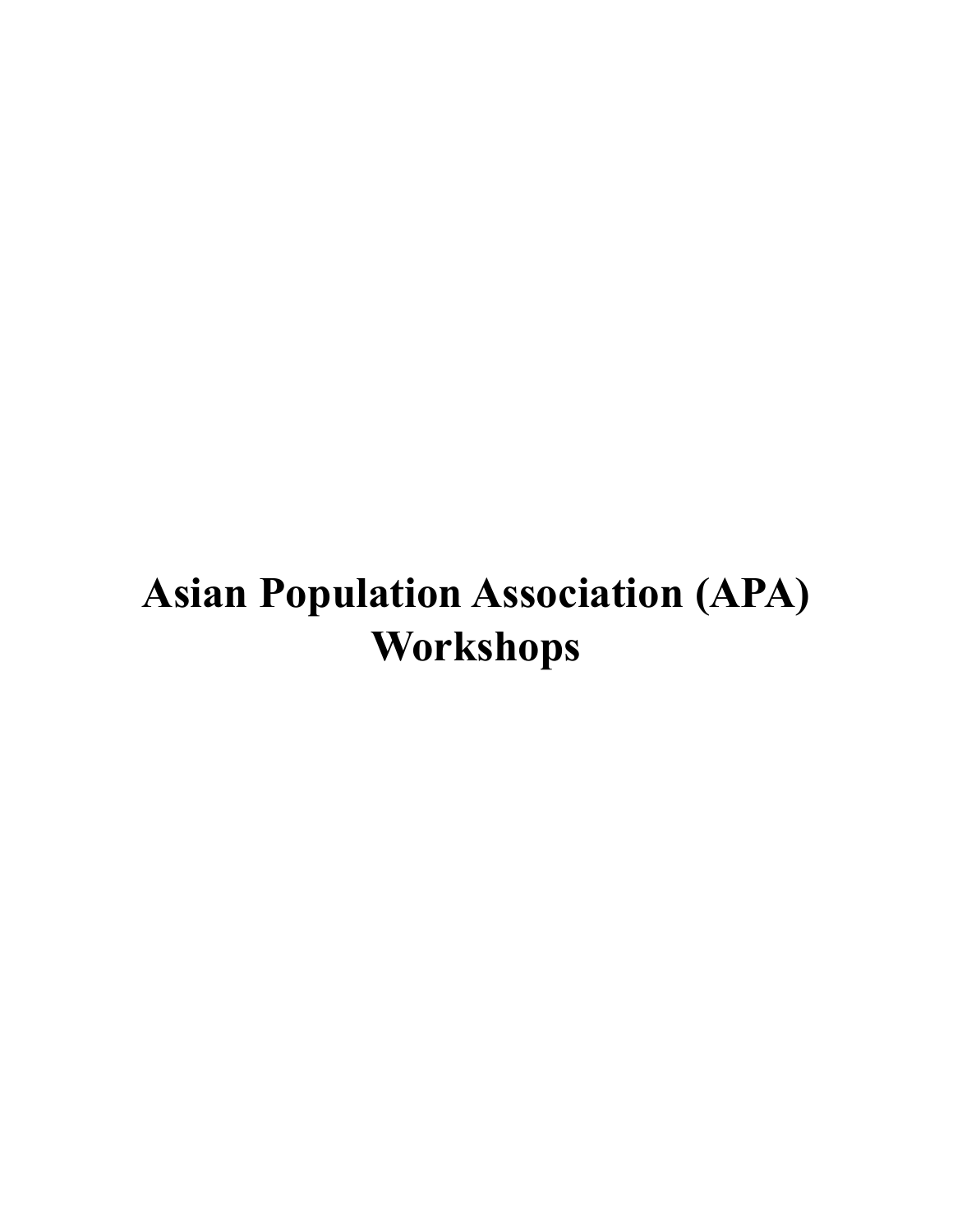# **Asian Population Association (APA) Workshops**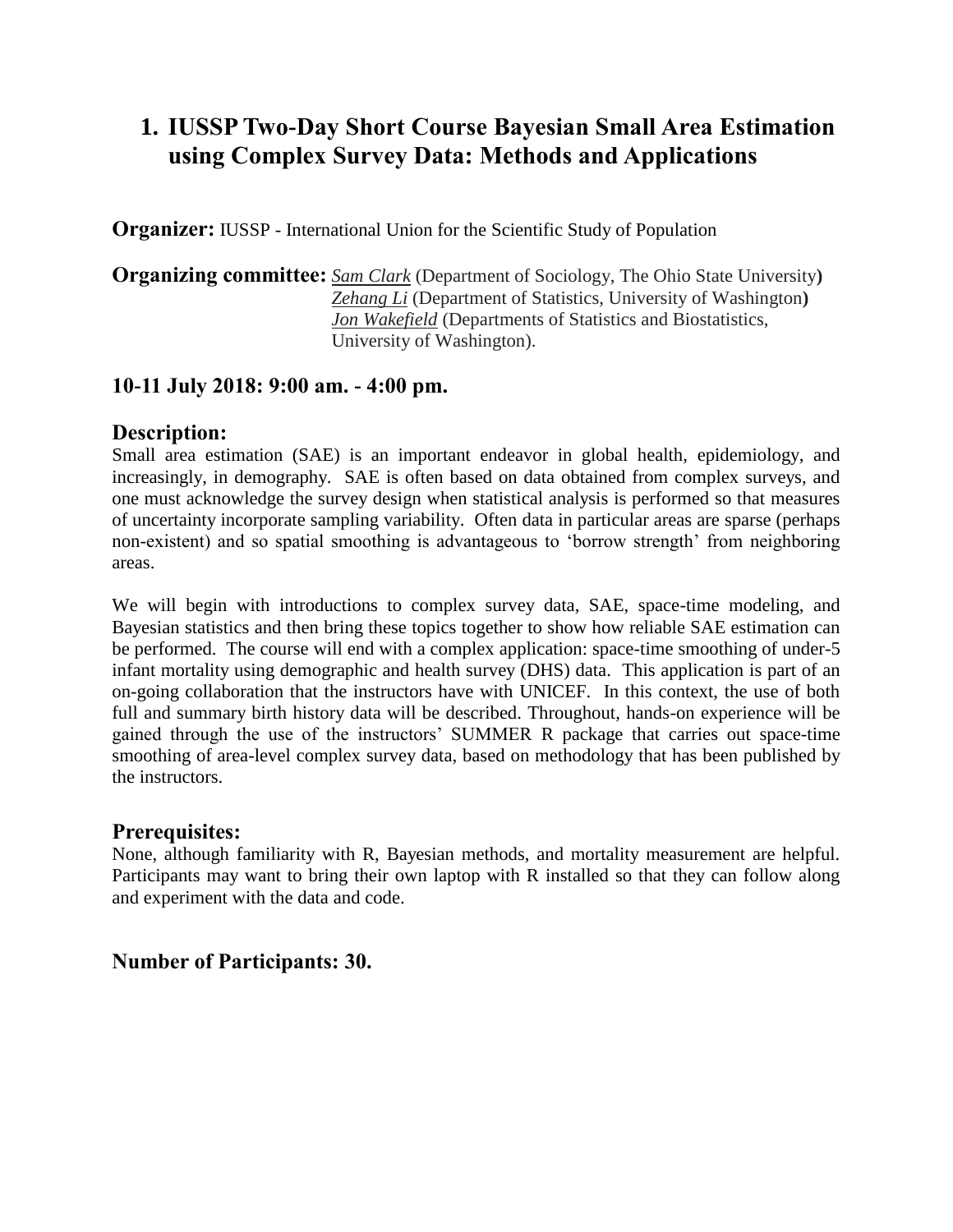# **1. IUSSP Two-Day Short Course Bayesian Small Area Estimation using Complex Survey Data: Methods and Applications**

**Organizer:** IUSSP - International Union for the Scientific Study of Population

**Organizing committee:** *Sam Clark* (Department of Sociology, The Ohio State University**)** *Zehang Li* (Department of Statistics, University of Washington**)** *Jon Wakefield* (Departments of Statistics and Biostatistics, University of Washington).

## **10-11 July 2018: 9:00 am. - 4:00 pm.**

#### **Description:**

Small area estimation (SAE) is an important endeavor in global health, epidemiology, and increasingly, in demography. SAE is often based on data obtained from complex surveys, and one must acknowledge the survey design when statistical analysis is performed so that measures of uncertainty incorporate sampling variability. Often data in particular areas are sparse (perhaps non-existent) and so spatial smoothing is advantageous to 'borrow strength' from neighboring areas.

We will begin with introductions to complex survey data, SAE, space-time modeling, and Bayesian statistics and then bring these topics together to show how reliable SAE estimation can be performed. The course will end with a complex application: space-time smoothing of under-5 infant mortality using demographic and health survey (DHS) data. This application is part of an on-going collaboration that the instructors have with UNICEF. In this context, the use of both full and summary birth history data will be described. Throughout, hands-on experience will be gained through the use of the instructors' SUMMER R package that carries out space-time smoothing of area-level complex survey data, based on methodology that has been published by the instructors.

### **Prerequisites:**

None, although familiarity with R, Bayesian methods, and mortality measurement are helpful. Participants may want to bring their own laptop with R installed so that they can follow along and experiment with the data and code.

### **Number of Participants: 30.**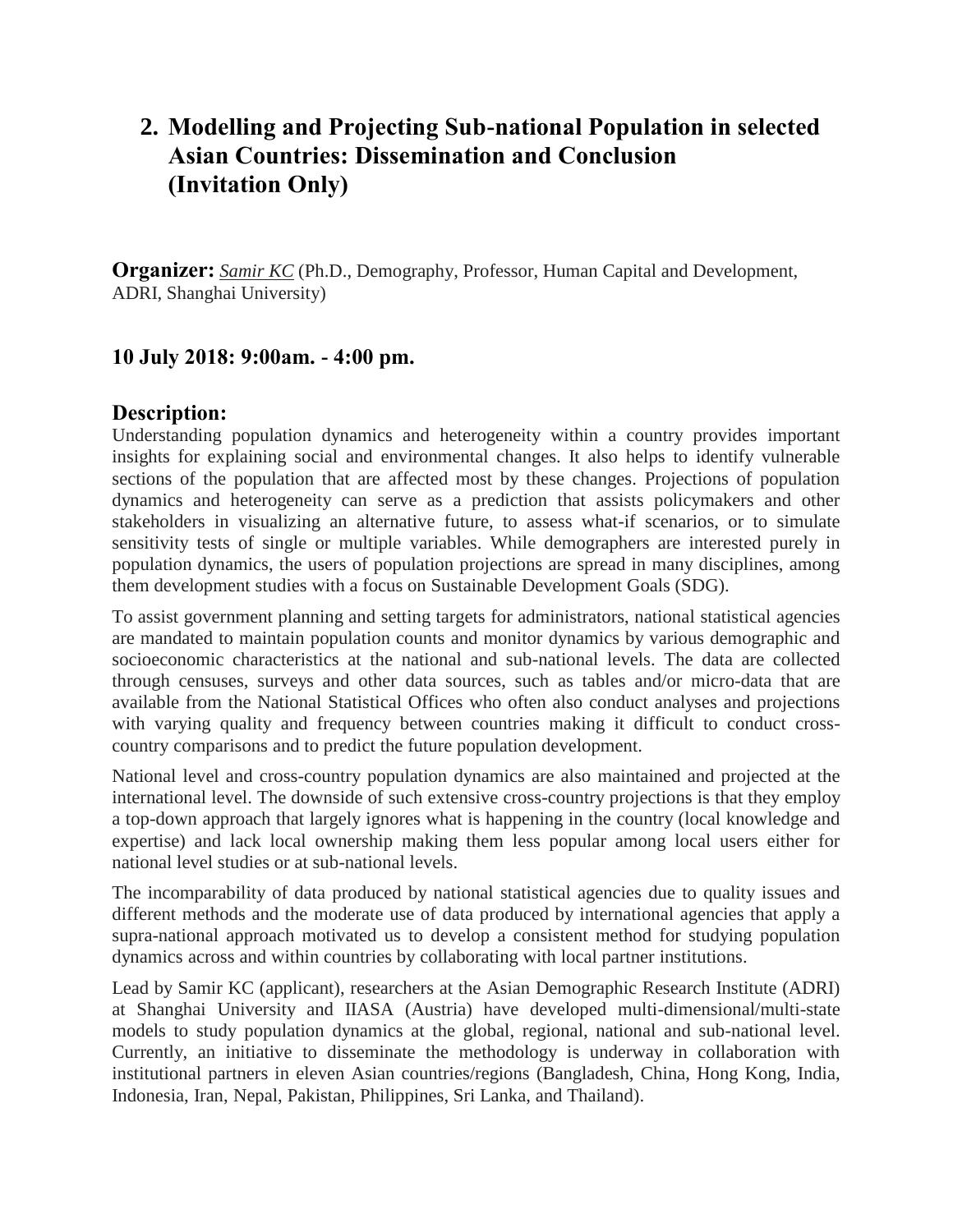# **2. Modelling and Projecting Sub-national Population in selected Asian Countries: Dissemination and Conclusion (Invitation Only)**

**Organizer:** *<u>Samir KC</u>* (Ph.D., Demography, Professor, Human Capital and Development, ADRI, Shanghai University)

## **10 July 2018: 9:00am. - 4:00 pm.**

#### **Description:**

Understanding population dynamics and heterogeneity within a country provides important insights for explaining social and environmental changes. It also helps to identify vulnerable sections of the population that are affected most by these changes. Projections of population dynamics and heterogeneity can serve as a prediction that assists policymakers and other stakeholders in visualizing an alternative future, to assess what-if scenarios, or to simulate sensitivity tests of single or multiple variables. While demographers are interested purely in population dynamics, the users of population projections are spread in many disciplines, among them development studies with a focus on Sustainable Development Goals (SDG).

To assist government planning and setting targets for administrators, national statistical agencies are mandated to maintain population counts and monitor dynamics by various demographic and socioeconomic characteristics at the national and sub-national levels. The data are collected through censuses, surveys and other data sources, such as tables and/or micro-data that are available from the National Statistical Offices who often also conduct analyses and projections with varying quality and frequency between countries making it difficult to conduct crosscountry comparisons and to predict the future population development.

National level and cross-country population dynamics are also maintained and projected at the international level. The downside of such extensive cross-country projections is that they employ a top-down approach that largely ignores what is happening in the country (local knowledge and expertise) and lack local ownership making them less popular among local users either for national level studies or at sub-national levels.

The incomparability of data produced by national statistical agencies due to quality issues and different methods and the moderate use of data produced by international agencies that apply a supra-national approach motivated us to develop a consistent method for studying population dynamics across and within countries by collaborating with local partner institutions.

Lead by Samir KC (applicant), researchers at the Asian Demographic Research Institute (ADRI) at Shanghai University and IIASA (Austria) have developed multi-dimensional/multi-state models to study population dynamics at the global, regional, national and sub-national level. Currently, an initiative to disseminate the methodology is underway in collaboration with institutional partners in eleven Asian countries/regions (Bangladesh, China, Hong Kong, India, Indonesia, Iran, Nepal, Pakistan, Philippines, Sri Lanka, and Thailand).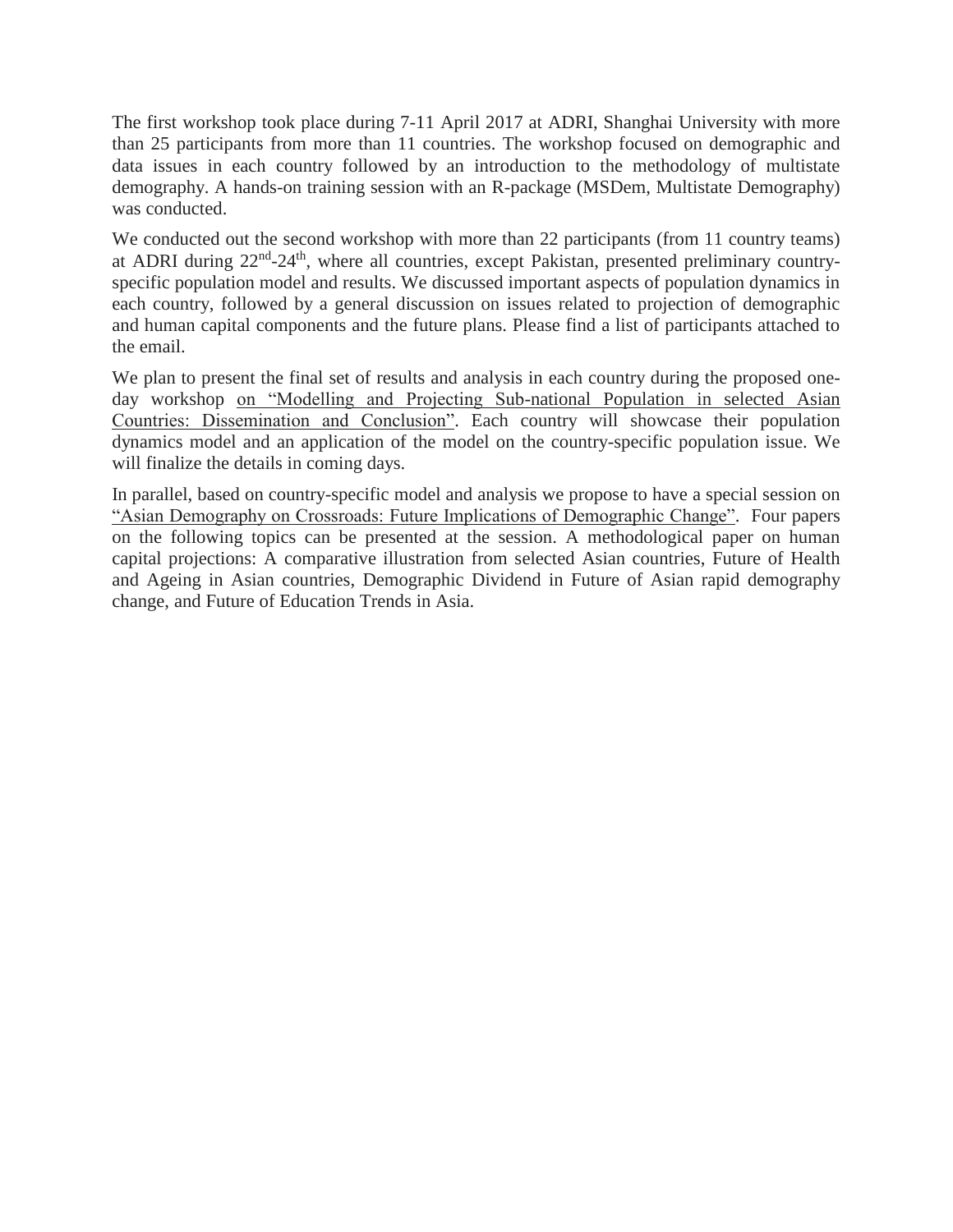The first workshop took place during 7-11 April 2017 at ADRI, Shanghai University with more than 25 participants from more than 11 countries. The workshop focused on demographic and data issues in each country followed by an introduction to the methodology of multistate demography. A hands-on training session with an R-package (MSDem, Multistate Demography) was conducted.

We conducted out the second workshop with more than 22 participants (from 11 country teams) at ADRI during 22<sup>nd</sup>-24<sup>th</sup>, where all countries, except Pakistan, presented preliminary countryspecific population model and results. We discussed important aspects of population dynamics in each country, followed by a general discussion on issues related to projection of demographic and human capital components and the future plans. Please find a list of participants attached to the email.

We plan to present the final set of results and analysis in each country during the proposed oneday workshop on "Modelling and Projecting Sub-national Population in selected Asian Countries: Dissemination and Conclusion". Each country will showcase their population dynamics model and an application of the model on the country-specific population issue. We will finalize the details in coming days.

In parallel, based on country-specific model and analysis we propose to have a special session on "Asian Demography on Crossroads: Future Implications of Demographic Change". Four papers on the following topics can be presented at the session. A methodological paper on human capital projections: A comparative illustration from selected Asian countries, Future of Health and Ageing in Asian countries, Demographic Dividend in Future of Asian rapid demography change, and Future of Education Trends in Asia.